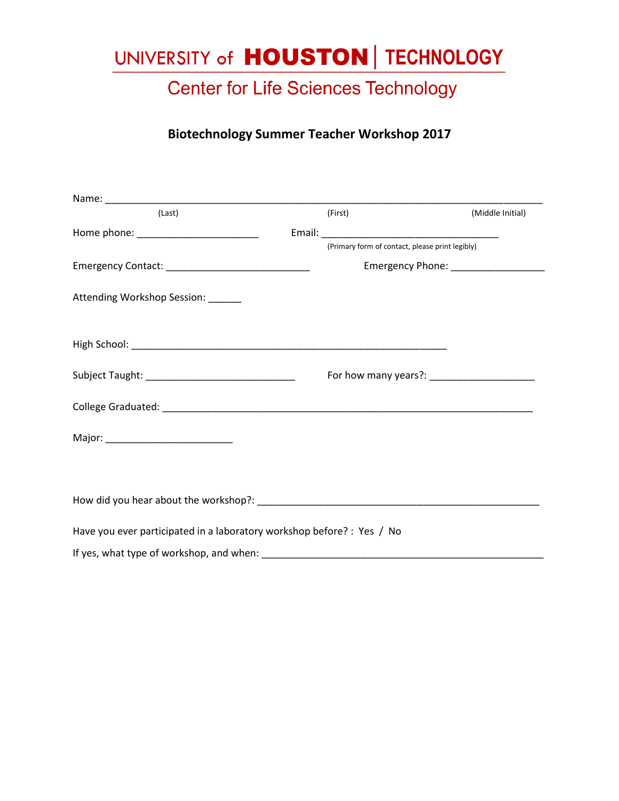# UNIVERSITY of **HOUSTON** | TECHNOLOGY

### **Center for Life Sciences Technology**

#### **Biotechnology Summer Teacher Workshop 2017**

| (Last)                                                                 | (First)                                         | (Middle Initial) |
|------------------------------------------------------------------------|-------------------------------------------------|------------------|
|                                                                        |                                                 |                  |
|                                                                        | (Primary form of contact, please print legibly) |                  |
|                                                                        | Emergency Phone: __________________             |                  |
| Attending Workshop Session: _____                                      |                                                 |                  |
|                                                                        |                                                 |                  |
|                                                                        |                                                 |                  |
|                                                                        |                                                 |                  |
|                                                                        |                                                 |                  |
|                                                                        |                                                 |                  |
| Have you ever participated in a laboratory workshop before? : Yes / No |                                                 |                  |
| If yes, what type of workshop, and when:                               |                                                 |                  |